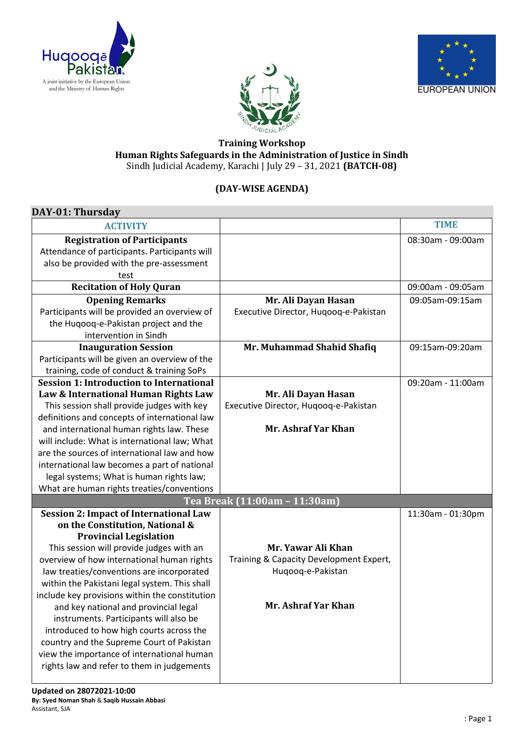





## **Training Workshop Human Rights Safeguards in the Administration of Justice in Sindh** Sindh Judicial Academy, Karachi | July 29 – 31, 2021 **(BATCH-08)**

## **(DAY-WISE AGENDA)**

| DAY-01: Thursday                                |                                         |                   |
|-------------------------------------------------|-----------------------------------------|-------------------|
| <b>ACTIVITY</b>                                 |                                         | <b>TIME</b>       |
| <b>Registration of Participants</b>             |                                         | 08:30am - 09:00am |
| Attendance of participants. Participants will   |                                         |                   |
| also be provided with the pre-assessment        |                                         |                   |
| test                                            |                                         |                   |
| <b>Recitation of Holy Quran</b>                 |                                         | 09:00am - 09:05am |
| <b>Opening Remarks</b>                          | Mr. Ali Dayan Hasan                     | 09:05am-09:15am   |
| Participants will be provided an overview of    | Executive Director, Huqooq-e-Pakistan   |                   |
| the Huqooq-e-Pakistan project and the           |                                         |                   |
| intervention in Sindh                           |                                         |                   |
| <b>Inauguration Session</b>                     | Mr. Muhammad Shahid Shafiq              | 09:15am-09:20am   |
| Participants will be given an overview of the   |                                         |                   |
| training, code of conduct & training SoPs       |                                         |                   |
| <b>Session 1: Introduction to International</b> |                                         | 09:20am - 11:00am |
| Law & International Human Rights Law            | Mr. Ali Dayan Hasan                     |                   |
| This session shall provide judges with key      | Executive Director, Huqooq-e-Pakistan   |                   |
| definitions and concepts of international law   |                                         |                   |
| and international human rights law. These       | Mr. Ashraf Yar Khan                     |                   |
| will include: What is international law; What   |                                         |                   |
| are the sources of international law and how    |                                         |                   |
| international law becomes a part of national    |                                         |                   |
| legal systems; What is human rights law;        |                                         |                   |
| What are human rights treaties/conventions      |                                         |                   |
|                                                 | Tea Break (11:00am - 11:30am)           |                   |
| <b>Session 2: Impact of International Law</b>   |                                         | 11:30am - 01:30pm |
| on the Constitution, National &                 |                                         |                   |
| <b>Provincial Legislation</b>                   |                                         |                   |
| This session will provide judges with an        | Mr. Yawar Ali Khan                      |                   |
| overview of how international human rights      | Training & Capacity Development Expert, |                   |
| law treaties/conventions are incorporated       | Huqooq-e-Pakistan                       |                   |
| within the Pakistani legal system. This shall   |                                         |                   |
| include key provisions within the constitution  |                                         |                   |
| and key national and provincial legal           | Mr. Ashraf Yar Khan                     |                   |
| instruments. Participants will also be          |                                         |                   |
| introduced to how high courts across the        |                                         |                   |
| country and the Supreme Court of Pakistan       |                                         |                   |
| view the importance of international human      |                                         |                   |
| rights law and refer to them in judgements      |                                         |                   |
|                                                 |                                         |                   |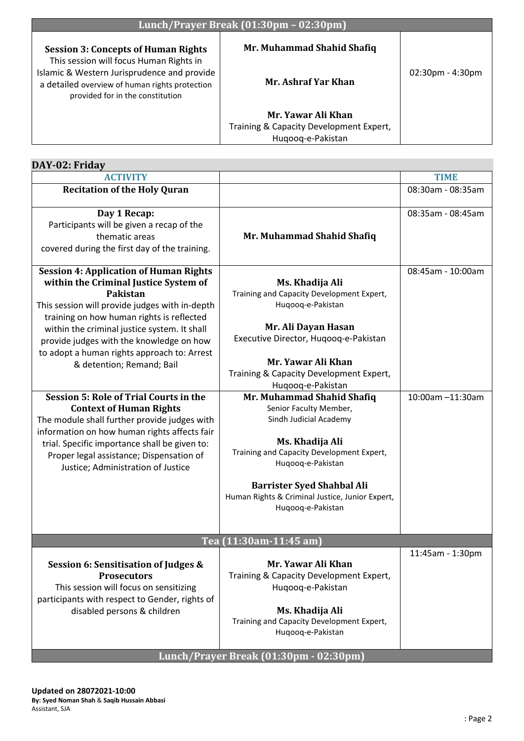| Lunch/Prayer Break (01:30pm - 02:30pm)                                                                                            |                                         |                     |
|-----------------------------------------------------------------------------------------------------------------------------------|-----------------------------------------|---------------------|
| <b>Session 3: Concepts of Human Rights</b><br>This session will focus Human Rights in                                             | Mr. Muhammad Shahid Shafiq              |                     |
| Islamic & Western Jurisprudence and provide<br>a detailed overview of human rights protection<br>provided for in the constitution | Mr. Ashraf Yar Khan                     | $02:30$ pm - 4:30pm |
|                                                                                                                                   | Mr. Yawar Ali Khan                      |                     |
|                                                                                                                                   | Training & Capacity Development Expert, |                     |
|                                                                                                                                   | Hugoog-e-Pakistan                       |                     |

| DAY-02: Friday                                                                                                                                                                                                                                                                                                                                                                                                                                                                                                              |                                        |  |
|-----------------------------------------------------------------------------------------------------------------------------------------------------------------------------------------------------------------------------------------------------------------------------------------------------------------------------------------------------------------------------------------------------------------------------------------------------------------------------------------------------------------------------|----------------------------------------|--|
|                                                                                                                                                                                                                                                                                                                                                                                                                                                                                                                             | <b>TIME</b>                            |  |
|                                                                                                                                                                                                                                                                                                                                                                                                                                                                                                                             | 08:30am - 08:35am                      |  |
| Mr. Muhammad Shahid Shafiq                                                                                                                                                                                                                                                                                                                                                                                                                                                                                                  | 08:35am - 08:45am                      |  |
| Ms. Khadija Ali<br>Training and Capacity Development Expert,<br>Huqooq-e-Pakistan<br>Mr. Ali Dayan Hasan<br>Executive Director, Hugoog-e-Pakistan<br>Mr. Yawar Ali Khan<br>Training & Capacity Development Expert,<br>Huqooq-e-Pakistan<br>Mr. Muhammad Shahid Shafiq<br>Senior Faculty Member,<br>Sindh Judicial Academy<br>Ms. Khadija Ali<br>Training and Capacity Development Expert,<br>Huqooq-e-Pakistan<br><b>Barrister Syed Shahbal Ali</b><br>Human Rights & Criminal Justice, Junior Expert,<br>Huqooq-e-Pakistan | 08:45am - 10:00am<br>10:00am -11:30am  |  |
| Tea (11:30am-11:45 am)                                                                                                                                                                                                                                                                                                                                                                                                                                                                                                      |                                        |  |
| Mr. Yawar Ali Khan<br>Training & Capacity Development Expert,<br>Hugoog-e-Pakistan<br>Ms. Khadija Ali<br>Training and Capacity Development Expert,<br>Huqooq-e-Pakistan                                                                                                                                                                                                                                                                                                                                                     | 11:45am - 1:30pm                       |  |
|                                                                                                                                                                                                                                                                                                                                                                                                                                                                                                                             | Lunch/Prayer Break (01:30pm - 02:30pm) |  |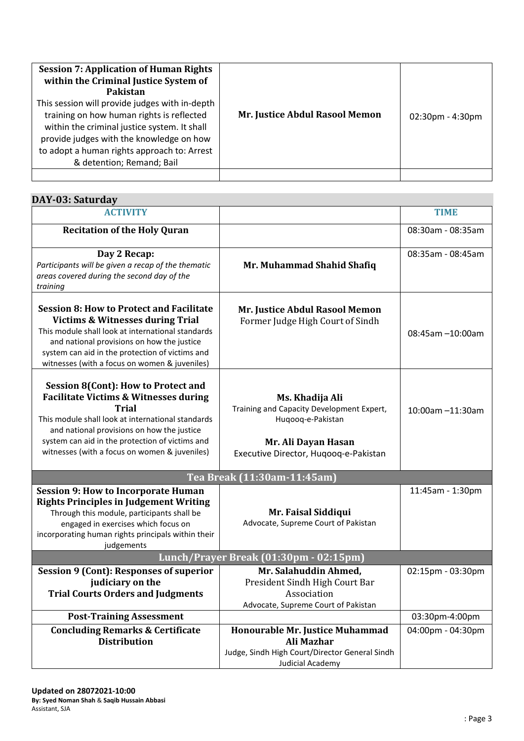| <b>Session 7: Application of Human Rights</b><br>within the Criminal Justice System of<br>Pakistan<br>This session will provide judges with in-depth<br>training on how human rights is reflected<br>within the criminal justice system. It shall<br>provide judges with the knowledge on how<br>to adopt a human rights approach to: Arrest<br>& detention; Remand; Bail | Mr. Justice Abdul Rasool Memon | $02:30$ pm - 4:30pm |
|---------------------------------------------------------------------------------------------------------------------------------------------------------------------------------------------------------------------------------------------------------------------------------------------------------------------------------------------------------------------------|--------------------------------|---------------------|
|                                                                                                                                                                                                                                                                                                                                                                           |                                |                     |

| DAY-03: Saturday                                                                                                                                                                                                                                                                                                      |                                                                                                                                                   |                   |
|-----------------------------------------------------------------------------------------------------------------------------------------------------------------------------------------------------------------------------------------------------------------------------------------------------------------------|---------------------------------------------------------------------------------------------------------------------------------------------------|-------------------|
| <b>ACTIVITY</b>                                                                                                                                                                                                                                                                                                       |                                                                                                                                                   | <b>TIME</b>       |
| <b>Recitation of the Holy Quran</b>                                                                                                                                                                                                                                                                                   |                                                                                                                                                   | 08:30am - 08:35am |
| Day 2 Recap:<br>Participants will be given a recap of the thematic<br>areas covered during the second day of the<br>training                                                                                                                                                                                          | Mr. Muhammad Shahid Shafiq                                                                                                                        | 08:35am - 08:45am |
| <b>Session 8: How to Protect and Facilitate</b><br><b>Victims &amp; Witnesses during Trial</b><br>This module shall look at international standards<br>and national provisions on how the justice<br>system can aid in the protection of victims and<br>witnesses (with a focus on women & juveniles)                 | Mr. Justice Abdul Rasool Memon<br>Former Judge High Court of Sindh                                                                                | 08:45am -10:00am  |
| <b>Session 8(Cont): How to Protect and</b><br><b>Facilitate Victims &amp; Witnesses during</b><br><b>Trial</b><br>This module shall look at international standards<br>and national provisions on how the justice<br>system can aid in the protection of victims and<br>witnesses (with a focus on women & juveniles) | Ms. Khadija Ali<br>Training and Capacity Development Expert,<br>Huqooq-e-Pakistan<br>Mr. Ali Dayan Hasan<br>Executive Director, Hugoog-e-Pakistan | 10:00am -11:30am  |
|                                                                                                                                                                                                                                                                                                                       | Tea Break (11:30am-11:45am)                                                                                                                       |                   |
| <b>Session 9: How to Incorporate Human</b><br><b>Rights Principles in Judgement Writing</b><br>Through this module, participants shall be<br>engaged in exercises which focus on<br>incorporating human rights principals within their<br>judgements                                                                  | Mr. Faisal Siddiqui<br>Advocate, Supreme Court of Pakistan                                                                                        | 11:45am - 1:30pm  |
| Lunch/Prayer Break (01:30pm - 02:15pm)                                                                                                                                                                                                                                                                                |                                                                                                                                                   |                   |
| <b>Session 9 (Cont): Responses of superior</b><br>judiciary on the<br><b>Trial Courts Orders and Judgments</b>                                                                                                                                                                                                        | Mr. Salahuddin Ahmed,<br>President Sindh High Court Bar<br>Association<br>Advocate, Supreme Court of Pakistan                                     | 02:15pm - 03:30pm |
| <b>Post-Training Assessment</b>                                                                                                                                                                                                                                                                                       |                                                                                                                                                   | 03:30pm-4:00pm    |
| <b>Concluding Remarks &amp; Certificate</b><br><b>Distribution</b>                                                                                                                                                                                                                                                    | Honourable Mr. Justice Muhammad<br>Ali Mazhar<br>Judge, Sindh High Court/Director General Sindh<br>Judicial Academy                               | 04:00pm - 04:30pm |